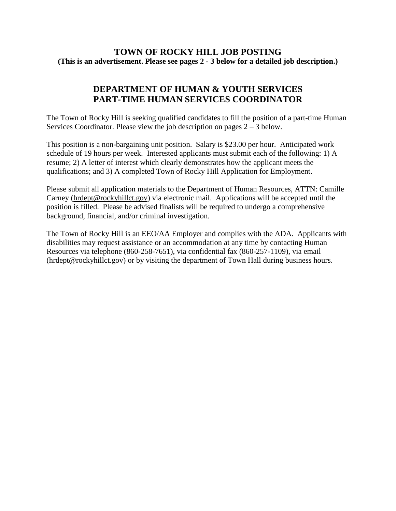## **TOWN OF ROCKY HILL JOB POSTING (This is an advertisement. Please see pages 2 - 3 below for a detailed job description.)**

# **DEPARTMENT OF HUMAN & YOUTH SERVICES PART-TIME HUMAN SERVICES COORDINATOR**

The Town of Rocky Hill is seeking qualified candidates to fill the position of a part-time Human Services Coordinator. Please view the job description on pages  $2 - 3$  below.

This position is a non-bargaining unit position. Salary is \$23.00 per hour. Anticipated work schedule of 19 hours per week. Interested applicants must submit each of the following: 1) A resume; 2) A letter of interest which clearly demonstrates how the applicant meets the qualifications; and 3) A completed Town of Rocky Hill Application for Employment.

Please submit all application materials to the Department of Human Resources, ATTN: Camille Carney [\(hrdept@rockyhillct.gov\)](mailto:hrdept@rockyhillct.gov) via electronic mail. Applications will be accepted until the position is filled. Please be advised finalists will be required to undergo a comprehensive background, financial, and/or criminal investigation.

The Town of Rocky Hill is an EEO/AA Employer and complies with the ADA. Applicants with disabilities may request assistance or an accommodation at any time by contacting Human Resources via telephone (860-258-7651), via confidential fax (860-257-1109), via email [\(hrdept@rockyhillct.gov\)](mailto:hrdept@rockyhillct.gov) or by visiting the department of Town Hall during business hours.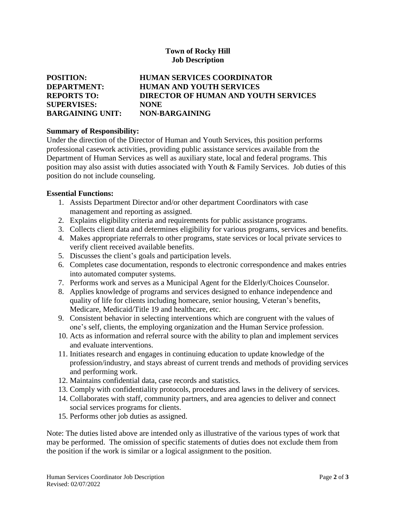### **Town of Rocky Hill Job Description**

| <b>POSITION:</b>        | <b>HUMAN SERVICES COORDINATOR</b>    |
|-------------------------|--------------------------------------|
| DEPARTMENT:             | <b>HUMAN AND YOUTH SERVICES</b>      |
| <b>REPORTS TO:</b>      | DIRECTOR OF HUMAN AND YOUTH SERVICES |
| <b>SUPERVISES:</b>      | <b>NONE</b>                          |
| <b>BARGAINING UNIT:</b> | NON-BARGAINING                       |

#### **Summary of Responsibility:**

Under the direction of the Director of Human and Youth Services, this position performs professional casework activities, providing public assistance services available from the Department of Human Services as well as auxiliary state, local and federal programs. This position may also assist with duties associated with Youth & Family Services. Job duties of this position do not include counseling.

#### **Essential Functions:**

- 1. Assists Department Director and/or other department Coordinators with case management and reporting as assigned.
- 2. Explains eligibility criteria and requirements for public assistance programs.
- 3. Collects client data and determines eligibility for various programs, services and benefits.
- 4. Makes appropriate referrals to other programs, state services or local private services to verify client received available benefits.
- 5. Discusses the client's goals and participation levels.
- 6. Completes case documentation, responds to electronic correspondence and makes entries into automated computer systems.
- 7. Performs work and serves as a Municipal Agent for the Elderly/Choices Counselor.
- 8. Applies knowledge of programs and services designed to enhance independence and quality of life for clients including homecare, senior housing, Veteran's benefits, Medicare, Medicaid/Title 19 and healthcare, etc.
- 9. Consistent behavior in selecting interventions which are congruent with the values of one's self, clients, the employing organization and the Human Service profession.
- 10. Acts as information and referral source with the ability to plan and implement services and evaluate interventions.
- 11. Initiates research and engages in continuing education to update knowledge of the profession/industry, and stays abreast of current trends and methods of providing services and performing work.
- 12. Maintains confidential data, case records and statistics.
- 13. Comply with confidentiality protocols, procedures and laws in the delivery of services.
- 14. Collaborates with staff, community partners, and area agencies to deliver and connect social services programs for clients.
- 15. Performs other job duties as assigned.

Note: The duties listed above are intended only as illustrative of the various types of work that may be performed. The omission of specific statements of duties does not exclude them from the position if the work is similar or a logical assignment to the position.